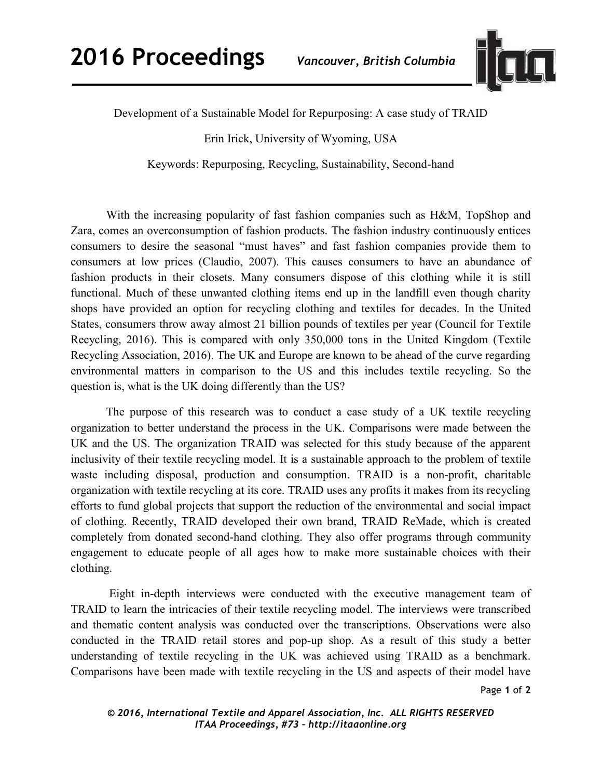

Development of a Sustainable Model for Repurposing: A case study of TRAID

Erin Irick, University of Wyoming, USA

Keywords: Repurposing, Recycling, Sustainability, Second-hand

 With the increasing popularity of fast fashion companies such as H&M, TopShop and Zara, comes an overconsumption of fashion products. The fashion industry continuously entices consumers to desire the seasonal "must haves" and fast fashion companies provide them to consumers at low prices (Claudio, 2007). This causes consumers to have an abundance of fashion products in their closets. Many consumers dispose of this clothing while it is still functional. Much of these unwanted clothing items end up in the landfill even though charity shops have provided an option for recycling clothing and textiles for decades. In the United States, consumers throw away almost 21 billion pounds of textiles per year (Council for Textile Recycling, 2016). This is compared with only 350,000 tons in the United Kingdom (Textile Recycling Association, 2016). The UK and Europe are known to be ahead of the curve regarding environmental matters in comparison to the US and this includes textile recycling. So the question is, what is the UK doing differently than the US?

 The purpose of this research was to conduct a case study of a UK textile recycling organization to better understand the process in the UK. Comparisons were made between the UK and the US. The organization TRAID was selected for this study because of the apparent inclusivity of their textile recycling model. It is a sustainable approach to the problem of textile waste including disposal, production and consumption. TRAID is a non-profit, charitable organization with textile recycling at its core. TRAID uses any profits it makes from its recycling efforts to fund global projects that support the reduction of the environmental and social impact of clothing. Recently, TRAID developed their own brand, TRAID ReMade, which is created completely from donated second-hand clothing. They also offer programs through community engagement to educate people of all ages how to make more sustainable choices with their clothing.

 Eight in-depth interviews were conducted with the executive management team of TRAID to learn the intricacies of their textile recycling model. The interviews were transcribed and thematic content analysis was conducted over the transcriptions. Observations were also conducted in the TRAID retail stores and pop-up shop. As a result of this study a better understanding of textile recycling in the UK was achieved using TRAID as a benchmark. Comparisons have been made with textile recycling in the US and aspects of their model have

Page **1** of **2**